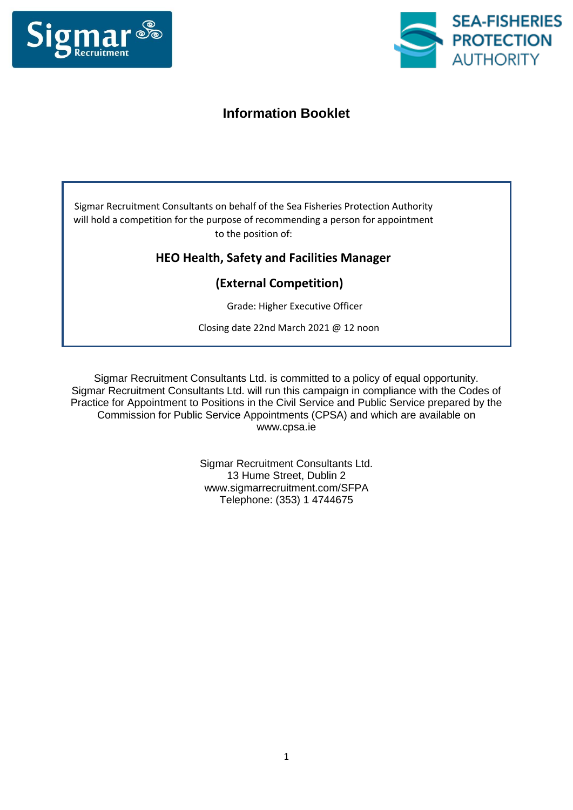



# **Information Booklet**

Sigmar Recruitment Consultants on behalf of the Sea Fisheries Protection Authority will hold a competition for the purpose of recommending a person for appointment to the position of:

# **HEO Health, Safety and Facilities Manager**

# **(External Competition)**

Grade: Higher Executive Officer

Closing date 22nd March 2021 @ 12 noon

Sigmar Recruitment Consultants Ltd. is committed to a policy of equal opportunity. Sigmar Recruitment Consultants Ltd. will run this campaign in compliance with the Codes of Practice for Appointment to Positions in the Civil Service and Public Service prepared by the Commission for Public Service Appointments (CPSA) and which are available on www.cpsa.ie

> Sigmar Recruitment Consultants Ltd. 13 Hume Street, Dublin 2 www.sigmarrecruitment.com/SFPA Telephone: (353) 1 4744675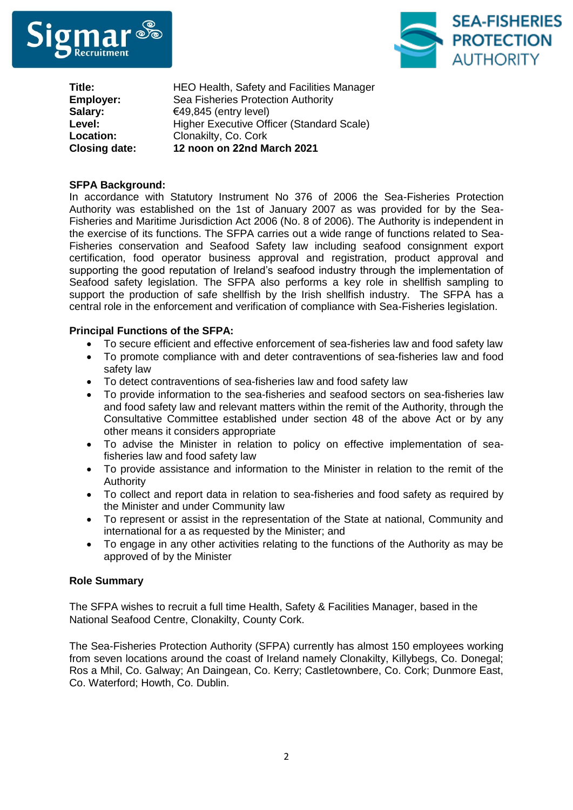



**Title: Employer: Salary: Level: Location: Closing date:**  HEO Health, Safety and Facilities Manager Sea Fisheries Protection Authority €49,845 (entry level) Higher Executive Officer (Standard Scale) Clonakilty, Co. Cork **12 noon on 22nd March 2021** 

# **SFPA Background:**

In accordance with Statutory Instrument No 376 of 2006 the Sea-Fisheries Protection Authority was established on the 1st of January 2007 as was provided for by the Sea-Fisheries and Maritime Jurisdiction Act 2006 (No. 8 of 2006). The Authority is independent in the exercise of its functions. The SFPA carries out a wide range of functions related to Sea-Fisheries conservation and Seafood Safety law including seafood consignment export certification, food operator business approval and registration, product approval and supporting the good reputation of Ireland's seafood industry through the implementation of Seafood safety legislation. The SFPA also performs a key role in shellfish sampling to support the production of safe shellfish by the Irish shellfish industry. The SFPA has a central role in the enforcement and verification of compliance with Sea-Fisheries legislation.

# **Principal Functions of the SFPA:**

- To secure efficient and effective enforcement of sea-fisheries law and food safety law
- To promote compliance with and deter contraventions of sea-fisheries law and food safety law
- To detect contraventions of sea-fisheries law and food safety law
- To provide information to the sea-fisheries and seafood sectors on sea-fisheries law and food safety law and relevant matters within the remit of the Authority, through the Consultative Committee established under section 48 of the above Act or by any other means it considers appropriate
- To advise the Minister in relation to policy on effective implementation of seafisheries law and food safety law
- To provide assistance and information to the Minister in relation to the remit of the Authority
- To collect and report data in relation to sea-fisheries and food safety as required by the Minister and under Community law
- To represent or assist in the representation of the State at national, Community and international for a as requested by the Minister; and
- To engage in any other activities relating to the functions of the Authority as may be approved of by the Minister

#### **Role Summary**

The SFPA wishes to recruit a full time Health, Safety & Facilities Manager, based in the National Seafood Centre, Clonakilty, County Cork.

The Sea-Fisheries Protection Authority (SFPA) currently has almost 150 employees working from seven locations around the coast of Ireland namely Clonakilty, Killybegs, Co. Donegal; Ros a Mhil, Co. Galway; An Daingean, Co. Kerry; Castletownbere, Co. Cork; Dunmore East, Co. Waterford; Howth, Co. Dublin.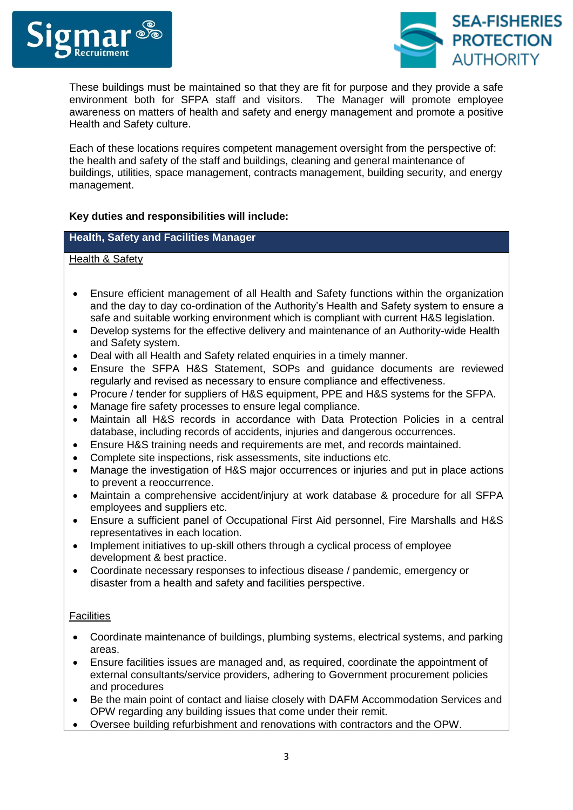



These buildings must be maintained so that they are fit for purpose and they provide a safe environment both for SFPA staff and visitors. The Manager will promote employee awareness on matters of health and safety and energy management and promote a positive Health and Safety culture.

Each of these locations requires competent management oversight from the perspective of: the health and safety of the staff and buildings, cleaning and general maintenance of buildings, utilities, space management, contracts management, building security, and energy management.

# **Key duties and responsibilities will include:**

# **Health, Safety and Facilities Manager**

# Health & Safety

- Ensure efficient management of all Health and Safety functions within the organization and the day to day co-ordination of the Authority's Health and Safety system to ensure a safe and suitable working environment which is compliant with current H&S legislation.
- Develop systems for the effective delivery and maintenance of an Authority-wide Health and Safety system.
- Deal with all Health and Safety related enquiries in a timely manner.
- Ensure the SFPA H&S Statement, SOPs and guidance documents are reviewed regularly and revised as necessary to ensure compliance and effectiveness.
- Procure / tender for suppliers of H&S equipment, PPE and H&S systems for the SFPA.
- Manage fire safety processes to ensure legal compliance.
- Maintain all H&S records in accordance with Data Protection Policies in a central database, including records of accidents, injuries and dangerous occurrences.
- Ensure H&S training needs and requirements are met, and records maintained.
- Complete site inspections, risk assessments, site inductions etc.
- Manage the investigation of H&S major occurrences or injuries and put in place actions to prevent a reoccurrence.
- Maintain a comprehensive accident/injury at work database & procedure for all SFPA employees and suppliers etc.
- Ensure a sufficient panel of Occupational First Aid personnel, Fire Marshalls and H&S representatives in each location.
- Implement initiatives to up-skill others through a cyclical process of employee development & best practice.
- Coordinate necessary responses to infectious disease / pandemic, emergency or disaster from a health and safety and facilities perspective.

#### **Facilities**

- Coordinate maintenance of buildings, plumbing systems, electrical systems, and parking areas.
- Ensure facilities issues are managed and, as required, coordinate the appointment of external consultants/service providers, adhering to Government procurement policies and procedures
- Be the main point of contact and liaise closely with DAFM Accommodation Services and OPW regarding any building issues that come under their remit.
- Oversee building refurbishment and renovations with contractors and the OPW.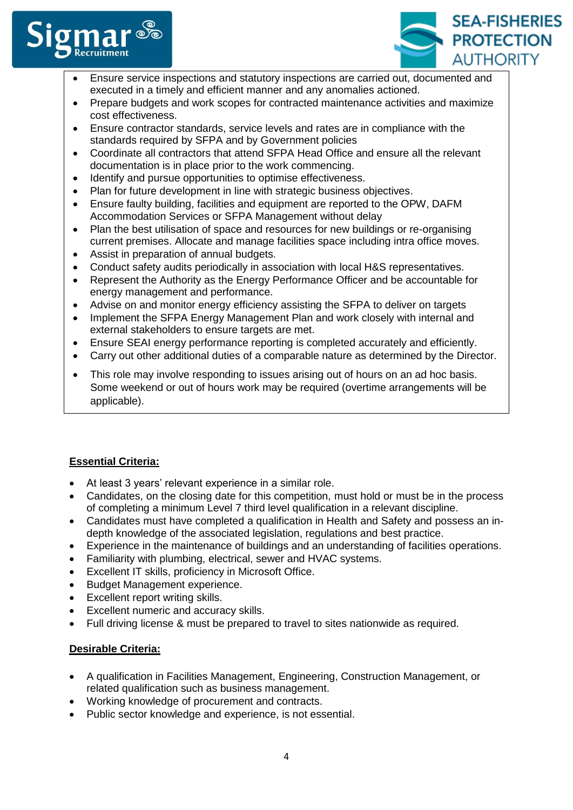



- Ensure service inspections and statutory inspections are carried out, documented and executed in a timely and efficient manner and any anomalies actioned.
- Prepare budgets and work scopes for contracted maintenance activities and maximize cost effectiveness.
- Ensure contractor standards, service levels and rates are in compliance with the standards required by SFPA and by Government policies
- Coordinate all contractors that attend SFPA Head Office and ensure all the relevant documentation is in place prior to the work commencing.
- Identify and pursue opportunities to optimise effectiveness.
- Plan for future development in line with strategic business objectives.
- Ensure faulty building, facilities and equipment are reported to the OPW, DAFM Accommodation Services or SFPA Management without delay
- Plan the best utilisation of space and resources for new buildings or re-organising current premises. Allocate and manage facilities space including intra office moves.
- Assist in preparation of annual budgets.
- Conduct safety audits periodically in association with local H&S representatives.
- Represent the Authority as the Energy Performance Officer and be accountable for energy management and performance.
- Advise on and monitor energy efficiency assisting the SFPA to deliver on targets
- Implement the SFPA Energy Management Plan and work closely with internal and external stakeholders to ensure targets are met.
- Ensure SEAI energy performance reporting is completed accurately and efficiently.
- Carry out other additional duties of a comparable nature as determined by the Director.
- This role may involve responding to issues arising out of hours on an ad hoc basis. Some weekend or out of hours work may be required (overtime arrangements will be applicable).

# **Essential Criteria:**

- At least 3 years' relevant experience in a similar role.
- Candidates, on the closing date for this competition, must hold or must be in the process of completing a minimum Level 7 third level qualification in a relevant discipline.
- Candidates must have completed a qualification in Health and Safety and possess an indepth knowledge of the associated legislation, regulations and best practice.
- Experience in the maintenance of buildings and an understanding of facilities operations.
- Familiarity with plumbing, electrical, sewer and HVAC systems.
- Excellent IT skills, proficiency in Microsoft Office.
- Budget Management experience.
- Excellent report writing skills.
- Excellent numeric and accuracy skills.
- Full driving license & must be prepared to travel to sites nationwide as required.

# **Desirable Criteria:**

- A qualification in Facilities Management, Engineering, Construction Management, or related qualification such as business management.
- Working knowledge of procurement and contracts.
- Public sector knowledge and experience, is not essential.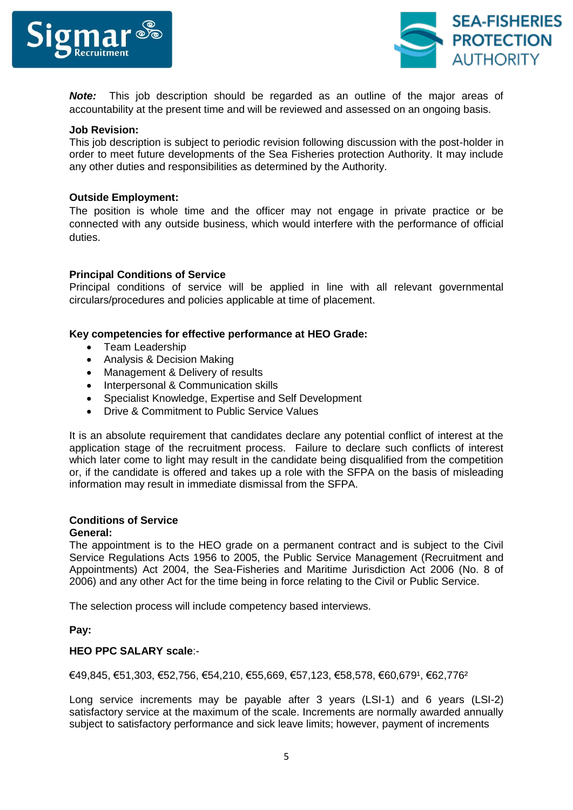



*Note:* This job description should be regarded as an outline of the major areas of accountability at the present time and will be reviewed and assessed on an ongoing basis.

#### **Job Revision:**

This job description is subject to periodic revision following discussion with the post-holder in order to meet future developments of the Sea Fisheries protection Authority. It may include any other duties and responsibilities as determined by the Authority.

#### **Outside Employment:**

The position is whole time and the officer may not engage in private practice or be connected with any outside business, which would interfere with the performance of official duties.

#### **Principal Conditions of Service**

Principal conditions of service will be applied in line with all relevant governmental circulars/procedures and policies applicable at time of placement.

# **Key competencies for effective performance at HEO Grade:**

- Team Leadership
- Analysis & Decision Making
- Management & Delivery of results
- Interpersonal & Communication skills
- Specialist Knowledge, Expertise and Self Development
- Drive & Commitment to Public Service Values

It is an absolute requirement that candidates declare any potential conflict of interest at the application stage of the recruitment process. Failure to declare such conflicts of interest which later come to light may result in the candidate being disqualified from the competition or, if the candidate is offered and takes up a role with the SFPA on the basis of misleading information may result in immediate dismissal from the SFPA.

#### **Conditions of Service General:**

The appointment is to the HEO grade on a permanent contract and is subject to the Civil Service Regulations Acts 1956 to 2005, the Public Service Management (Recruitment and Appointments) Act 2004, the Sea-Fisheries and Maritime Jurisdiction Act 2006 (No. 8 of 2006) and any other Act for the time being in force relating to the Civil or Public Service.

The selection process will include competency based interviews.

# **Pay:**

#### **HEO PPC SALARY scale**:-

€49,845, €51,303, €52,756, €54,210, €55,669, €57,123, €58,578, €60,6791, €62,7762

Long service increments may be payable after 3 years (LSI-1) and 6 years (LSI-2) satisfactory service at the maximum of the scale. Increments are normally awarded annually subject to satisfactory performance and sick leave limits; however, payment of increments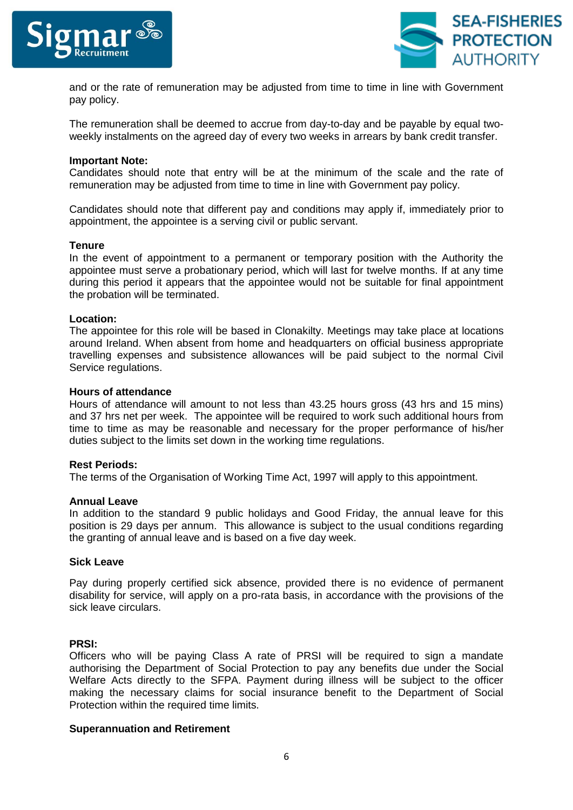



and or the rate of remuneration may be adjusted from time to time in line with Government pay policy.

The remuneration shall be deemed to accrue from day-to-day and be payable by equal twoweekly instalments on the agreed day of every two weeks in arrears by bank credit transfer.

#### **Important Note:**

Candidates should note that entry will be at the minimum of the scale and the rate of remuneration may be adjusted from time to time in line with Government pay policy.

Candidates should note that different pay and conditions may apply if, immediately prior to appointment, the appointee is a serving civil or public servant.

#### **Tenure**

In the event of appointment to a permanent or temporary position with the Authority the appointee must serve a probationary period, which will last for twelve months. If at any time during this period it appears that the appointee would not be suitable for final appointment the probation will be terminated.

#### **Location:**

The appointee for this role will be based in Clonakilty. Meetings may take place at locations around Ireland. When absent from home and headquarters on official business appropriate travelling expenses and subsistence allowances will be paid subject to the normal Civil Service regulations.

#### **Hours of attendance**

Hours of attendance will amount to not less than 43.25 hours gross (43 hrs and 15 mins) and 37 hrs net per week. The appointee will be required to work such additional hours from time to time as may be reasonable and necessary for the proper performance of his/her duties subject to the limits set down in the working time regulations.

#### **Rest Periods:**

The terms of the Organisation of Working Time Act, 1997 will apply to this appointment.

#### **Annual Leave**

In addition to the standard 9 public holidays and Good Friday, the annual leave for this position is 29 days per annum. This allowance is subject to the usual conditions regarding the granting of annual leave and is based on a five day week.

#### **Sick Leave**

Pay during properly certified sick absence, provided there is no evidence of permanent disability for service, will apply on a pro-rata basis, in accordance with the provisions of the sick leave circulars.

#### **PRSI:**

Officers who will be paying Class A rate of PRSI will be required to sign a mandate authorising the Department of Social Protection to pay any benefits due under the Social Welfare Acts directly to the SFPA. Payment during illness will be subject to the officer making the necessary claims for social insurance benefit to the Department of Social Protection within the required time limits.

#### **Superannuation and Retirement**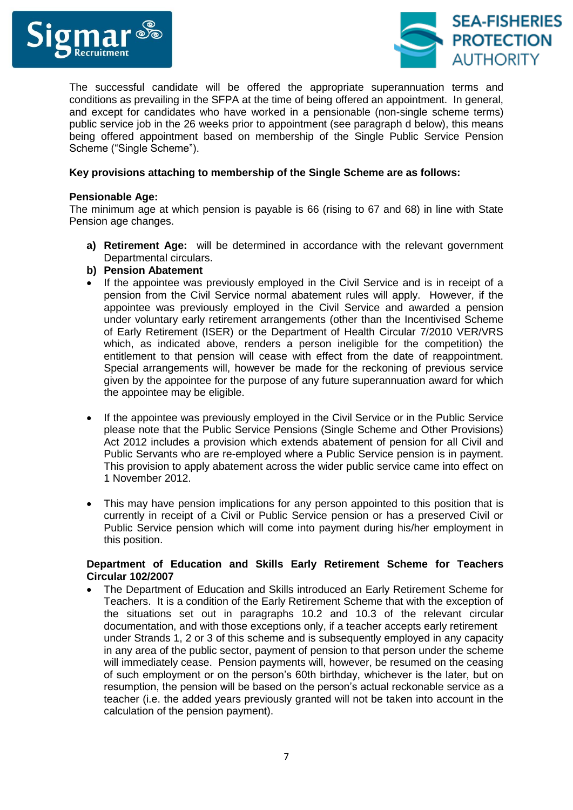



The successful candidate will be offered the appropriate superannuation terms and conditions as prevailing in the SFPA at the time of being offered an appointment. In general, and except for candidates who have worked in a pensionable (non-single scheme terms) public service job in the 26 weeks prior to appointment (see paragraph d below), this means being offered appointment based on membership of the Single Public Service Pension Scheme ("Single Scheme").

# **Key provisions attaching to membership of the Single Scheme are as follows:**

#### **Pensionable Age:**

The minimum age at which pension is payable is 66 (rising to 67 and 68) in line with State Pension age changes.

- **a) Retirement Age:** will be determined in accordance with the relevant government Departmental circulars.
- **b) Pension Abatement**
- If the appointee was previously employed in the Civil Service and is in receipt of a pension from the Civil Service normal abatement rules will apply. However, if the appointee was previously employed in the Civil Service and awarded a pension under voluntary early retirement arrangements (other than the Incentivised Scheme of Early Retirement (ISER) or the Department of Health Circular 7/2010 VER/VRS which, as indicated above, renders a person ineligible for the competition) the entitlement to that pension will cease with effect from the date of reappointment. Special arrangements will, however be made for the reckoning of previous service given by the appointee for the purpose of any future superannuation award for which the appointee may be eligible.
- If the appointee was previously employed in the Civil Service or in the Public Service please note that the Public Service Pensions (Single Scheme and Other Provisions) Act 2012 includes a provision which extends abatement of pension for all Civil and Public Servants who are re-employed where a Public Service pension is in payment. This provision to apply abatement across the wider public service came into effect on 1 November 2012.
- This may have pension implications for any person appointed to this position that is currently in receipt of a Civil or Public Service pension or has a preserved Civil or Public Service pension which will come into payment during his/her employment in this position.

# **Department of Education and Skills Early Retirement Scheme for Teachers Circular 102/2007**

 The Department of Education and Skills introduced an Early Retirement Scheme for Teachers. It is a condition of the Early Retirement Scheme that with the exception of the situations set out in paragraphs 10.2 and 10.3 of the relevant circular documentation, and with those exceptions only, if a teacher accepts early retirement under Strands 1, 2 or 3 of this scheme and is subsequently employed in any capacity in any area of the public sector, payment of pension to that person under the scheme will immediately cease. Pension payments will, however, be resumed on the ceasing of such employment or on the person's 60th birthday, whichever is the later, but on resumption, the pension will be based on the person's actual reckonable service as a teacher (i.e. the added years previously granted will not be taken into account in the calculation of the pension payment).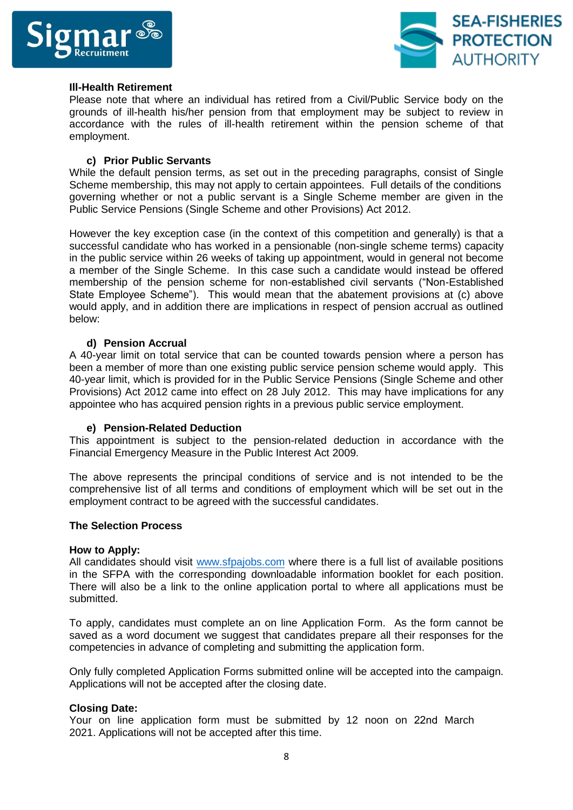



### **Ill-Health Retirement**

Please note that where an individual has retired from a Civil/Public Service body on the grounds of ill-health his/her pension from that employment may be subject to review in accordance with the rules of ill-health retirement within the pension scheme of that employment.

# **c) Prior Public Servants**

While the default pension terms, as set out in the preceding paragraphs, consist of Single Scheme membership, this may not apply to certain appointees. Full details of the conditions governing whether or not a public servant is a Single Scheme member are given in the Public Service Pensions (Single Scheme and other Provisions) Act 2012.

However the key exception case (in the context of this competition and generally) is that a successful candidate who has worked in a pensionable (non-single scheme terms) capacity in the public service within 26 weeks of taking up appointment, would in general not become a member of the Single Scheme. In this case such a candidate would instead be offered membership of the pension scheme for non-established civil servants ("Non-Established State Employee Scheme"). This would mean that the abatement provisions at (c) above would apply, and in addition there are implications in respect of pension accrual as outlined below:

# **d) Pension Accrual**

A 40-year limit on total service that can be counted towards pension where a person has been a member of more than one existing public service pension scheme would apply. This 40-year limit, which is provided for in the Public Service Pensions (Single Scheme and other Provisions) Act 2012 came into effect on 28 July 2012. This may have implications for any appointee who has acquired pension rights in a previous public service employment.

#### **e) Pension-Related Deduction**

This appointment is subject to the pension-related deduction in accordance with the Financial Emergency Measure in the Public Interest Act 2009.

The above represents the principal conditions of service and is not intended to be the comprehensive list of all terms and conditions of employment which will be set out in the employment contract to be agreed with the successful candidates.

#### **The Selection Process**

#### **How to Apply:**

All candidates should visit [www.sfpajobs.com](http://www.sfpajobs.com/) where there is a full list of available positions in the SFPA with the corresponding downloadable information booklet for each position. There will also be a link to the online application portal to where all applications must be submitted.

To apply, candidates must complete an on line Application Form. As the form cannot be saved as a word document we suggest that candidates prepare all their responses for the competencies in advance of completing and submitting the application form.

Only fully completed Application Forms submitted online will be accepted into the campaign. Applications will not be accepted after the closing date.

#### **Closing Date:**

Your on line application form must be submitted by 12 noon on 22nd March 2021. Applications will not be accepted after this time.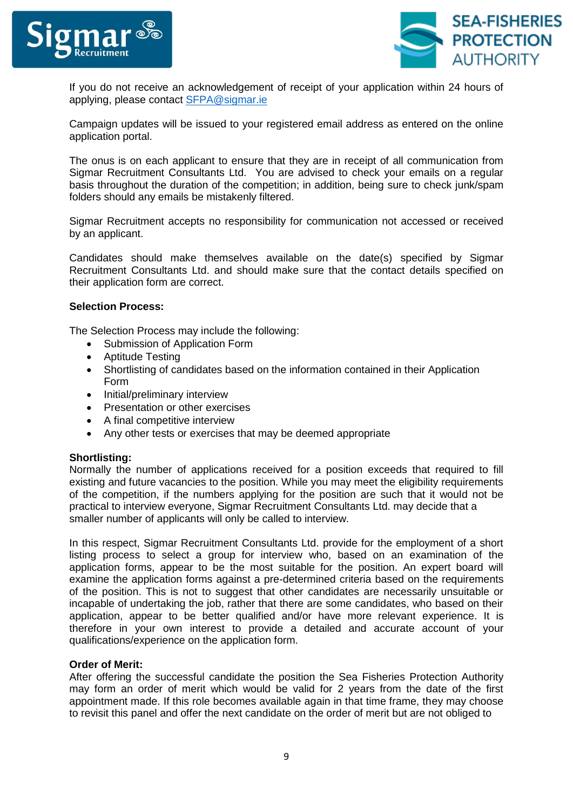



If you do not receive an acknowledgement of receipt of your application within 24 hours of applying, please contact [SFPA@sigmar.ie](mailto:SFPA@sigmar.ie)

Campaign updates will be issued to your registered email address as entered on the online application portal.

The onus is on each applicant to ensure that they are in receipt of all communication from Sigmar Recruitment Consultants Ltd. You are advised to check your emails on a regular basis throughout the duration of the competition; in addition, being sure to check junk/spam folders should any emails be mistakenly filtered.

Sigmar Recruitment accepts no responsibility for communication not accessed or received by an applicant.

Candidates should make themselves available on the date(s) specified by Sigmar Recruitment Consultants Ltd. and should make sure that the contact details specified on their application form are correct.

#### **Selection Process:**

The Selection Process may include the following:

- Submission of Application Form
- Aptitude Testing
- Shortlisting of candidates based on the information contained in their Application Form
- Initial/preliminary interview
- Presentation or other exercises
- A final competitive interview
- Any other tests or exercises that may be deemed appropriate

#### **Shortlisting:**

Normally the number of applications received for a position exceeds that required to fill existing and future vacancies to the position. While you may meet the eligibility requirements of the competition, if the numbers applying for the position are such that it would not be practical to interview everyone, Sigmar Recruitment Consultants Ltd. may decide that a smaller number of applicants will only be called to interview.

In this respect, Sigmar Recruitment Consultants Ltd. provide for the employment of a short listing process to select a group for interview who, based on an examination of the application forms, appear to be the most suitable for the position. An expert board will examine the application forms against a pre-determined criteria based on the requirements of the position. This is not to suggest that other candidates are necessarily unsuitable or incapable of undertaking the job, rather that there are some candidates, who based on their application, appear to be better qualified and/or have more relevant experience. It is therefore in your own interest to provide a detailed and accurate account of your qualifications/experience on the application form.

#### **Order of Merit:**

After offering the successful candidate the position the Sea Fisheries Protection Authority may form an order of merit which would be valid for 2 years from the date of the first appointment made. If this role becomes available again in that time frame, they may choose to revisit this panel and offer the next candidate on the order of merit but are not obliged to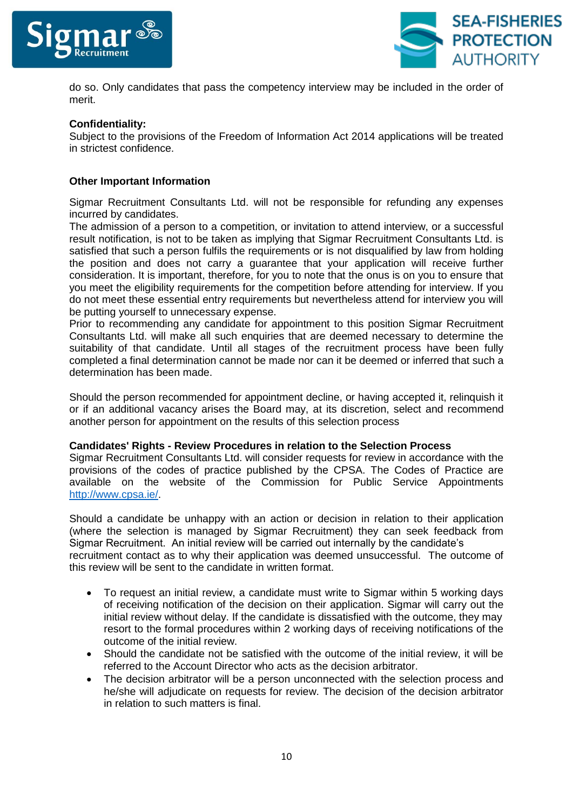



do so. Only candidates that pass the competency interview may be included in the order of merit.

# **Confidentiality:**

Subject to the provisions of the Freedom of Information Act 2014 applications will be treated in strictest confidence.

#### **Other Important Information**

Sigmar Recruitment Consultants Ltd. will not be responsible for refunding any expenses incurred by candidates.

The admission of a person to a competition, or invitation to attend interview, or a successful result notification, is not to be taken as implying that Sigmar Recruitment Consultants Ltd. is satisfied that such a person fulfils the requirements or is not disqualified by law from holding the position and does not carry a guarantee that your application will receive further consideration. It is important, therefore, for you to note that the onus is on you to ensure that you meet the eligibility requirements for the competition before attending for interview. If you do not meet these essential entry requirements but nevertheless attend for interview you will be putting yourself to unnecessary expense.

Prior to recommending any candidate for appointment to this position Sigmar Recruitment Consultants Ltd. will make all such enquiries that are deemed necessary to determine the suitability of that candidate. Until all stages of the recruitment process have been fully completed a final determination cannot be made nor can it be deemed or inferred that such a determination has been made.

Should the person recommended for appointment decline, or having accepted it, relinquish it or if an additional vacancy arises the Board may, at its discretion, select and recommend another person for appointment on the results of this selection process

#### **Candidates' Rights - Review Procedures in relation to the Selection Process**

Sigmar Recruitment Consultants Ltd. will consider requests for review in accordance with the provisions of the codes of practice published by the CPSA. The Codes of Practice are available on the website of the Commission for Public Service Appointments [http://www.cpsa.ie/.](http://www.cpsa.ie/)

Should a candidate be unhappy with an action or decision in relation to their application (where the selection is managed by Sigmar Recruitment) they can seek feedback from Sigmar Recruitment. An initial review will be carried out internally by the candidate's recruitment contact as to why their application was deemed unsuccessful. The outcome of this review will be sent to the candidate in written format.

- To request an initial review, a candidate must write to Sigmar within 5 working days of receiving notification of the decision on their application. Sigmar will carry out the initial review without delay. If the candidate is dissatisfied with the outcome, they may resort to the formal procedures within 2 working days of receiving notifications of the outcome of the initial review.
- Should the candidate not be satisfied with the outcome of the initial review, it will be referred to the Account Director who acts as the decision arbitrator.
- The decision arbitrator will be a person unconnected with the selection process and he/she will adjudicate on requests for review. The decision of the decision arbitrator in relation to such matters is final.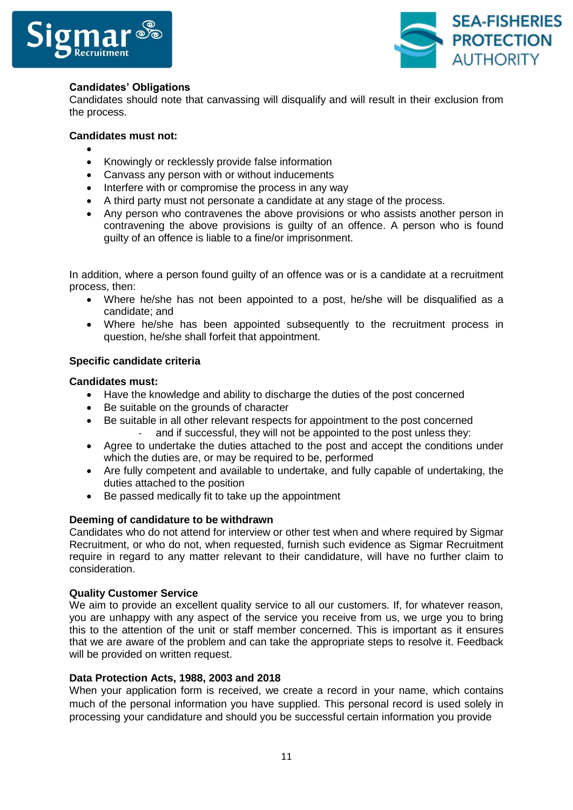



# **Candidates' Obligations**

Candidates should note that canvassing will disqualify and will result in their exclusion from the process.

### **Candidates must not:**

- $\bullet$
- Knowingly or recklessly provide false information
- Canvass any person with or without inducements
- Interfere with or compromise the process in any way
- A third party must not personate a candidate at any stage of the process.
- Any person who contravenes the above provisions or who assists another person in contravening the above provisions is guilty of an offence. A person who is found guilty of an offence is liable to a fine/or imprisonment.

In addition, where a person found guilty of an offence was or is a candidate at a recruitment process, then:

- Where he/she has not been appointed to a post, he/she will be disqualified as a candidate; and
- Where he/she has been appointed subsequently to the recruitment process in question, he/she shall forfeit that appointment.

# **Specific candidate criteria**

#### **Candidates must:**

- Have the knowledge and ability to discharge the duties of the post concerned
- Be suitable on the grounds of character
- Be suitable in all other relevant respects for appointment to the post concerned and if successful, they will not be appointed to the post unless they:
- Agree to undertake the duties attached to the post and accept the conditions under which the duties are, or may be required to be, performed
- Are fully competent and available to undertake, and fully capable of undertaking, the duties attached to the position
- Be passed medically fit to take up the appointment

#### **Deeming of candidature to be withdrawn**

Candidates who do not attend for interview or other test when and where required by Sigmar Recruitment, or who do not, when requested, furnish such evidence as Sigmar Recruitment require in regard to any matter relevant to their candidature, will have no further claim to consideration.

#### **Quality Customer Service**

We aim to provide an excellent quality service to all our customers. If, for whatever reason, you are unhappy with any aspect of the service you receive from us, we urge you to bring this to the attention of the unit or staff member concerned. This is important as it ensures that we are aware of the problem and can take the appropriate steps to resolve it. Feedback will be provided on written request.

### **Data Protection Acts, 1988, 2003 and 2018**

When your application form is received, we create a record in your name, which contains much of the personal information you have supplied. This personal record is used solely in processing your candidature and should you be successful certain information you provide